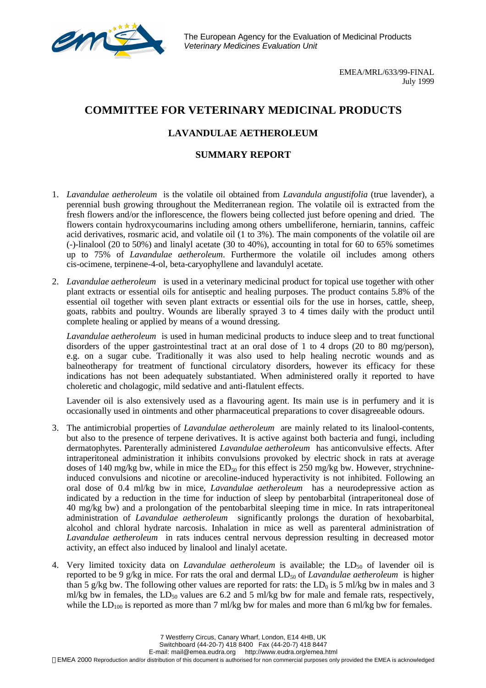

The European Agency for the Evaluation of Medicinal Products *Veterinary Medicines Evaluation Unit*

> EMEA/MRL/633/99-FINAL July 1999

## **COMMITTEE FOR VETERINARY MEDICINAL PRODUCTS**

## **LAVANDULAE AETHEROLEUM**

## **SUMMARY REPORT**

- 1. *Lavandulae aetheroleum* is the volatile oil obtained from *Lavandula angustifolia* (true lavender), a perennial bush growing throughout the Mediterranean region. The volatile oil is extracted from the fresh flowers and/or the inflorescence, the flowers being collected just before opening and dried. The flowers contain hydroxycoumarins including among others umbelliferone, herniarin, tannins, caffeic acid derivatives, rosmaric acid, and volatile oil (1 to 3%). The main components of the volatile oil are (-)-linalool (20 to 50%) and linalyl acetate (30 to 40%), accounting in total for 60 to 65% sometimes up to 75% of *Lavandulae aetheroleum*. Furthermore the volatile oil includes among others cis-ocimene, terpinene-4-ol, beta-caryophyllene and lavandulyl acetate.
- 2. *Lavandulae aetheroleum* is used in a veterinary medicinal product for topical use together with other plant extracts or essential oils for antiseptic and healing purposes. The product contains 5.8% of the essential oil together with seven plant extracts or essential oils for the use in horses, cattle, sheep, goats, rabbits and poultry. Wounds are liberally sprayed 3 to 4 times daily with the product until complete healing or applied by means of a wound dressing.

*Lavandulae aetheroleum* is used in human medicinal products to induce sleep and to treat functional disorders of the upper gastrointestinal tract at an oral dose of 1 to 4 drops (20 to 80 mg/person), e.g. on a sugar cube. Traditionally it was also used to help healing necrotic wounds and as balneotherapy for treatment of functional circulatory disorders, however its efficacy for these indications has not been adequately substantiated. When administered orally it reported to have choleretic and cholagogic, mild sedative and anti-flatulent effects.

Lavender oil is also extensively used as a flavouring agent. Its main use is in perfumery and it is occasionally used in ointments and other pharmaceutical preparations to cover disagreeable odours.

- 3. The antimicrobial properties of *Lavandulae aetheroleum* are mainly related to its linalool-contents, but also to the presence of terpene derivatives. It is active against both bacteria and fungi, including dermatophytes. Parenterally administered *Lavandulae aetheroleum* has anticonvulsive effects. After intraperitoneal administration it inhibits convulsions provoked by electric shock in rats at average doses of 140 mg/kg bw, while in mice the  $ED_{50}$  for this effect is 250 mg/kg bw. However, strychnineinduced convulsions and nicotine or arecoline-induced hyperactivity is not inhibited. Following an oral dose of 0.4 ml/kg bw in mice, *Lavandulae aetheroleum* has a neurodepressive action as indicated by a reduction in the time for induction of sleep by pentobarbital (intraperitoneal dose of 40 mg/kg bw) and a prolongation of the pentobarbital sleeping time in mice. In rats intraperitoneal administration of *Lavandulae aetheroleum* significantly prolongs the duration of hexobarbital, alcohol and chloral hydrate narcosis. Inhalation in mice as well as parenteral administration of *Lavandulae aetheroleum* in rats induces central nervous depression resulting in decreased motor activity, an effect also induced by linalool and linalyl acetate.
- 4. Very limited toxicity data on *Lavandulae aetheroleum* is available; the  $LD_{50}$  of lavender oil is reported to be 9 g/kg in mice. For rats the oral and dermal  $LD_{50}$  of *Lavandulae aetheroleum* is higher than 5 g/kg bw. The following other values are reported for rats: the  $LD_0$  is 5 ml/kg bw in males and 3 ml/kg bw in females, the LD<sub>50</sub> values are 6.2 and 5 ml/kg bw for male and female rats, respectively, while the  $LD<sub>100</sub>$  is reported as more than 7 ml/kg bw for males and more than 6 ml/kg bw for females.